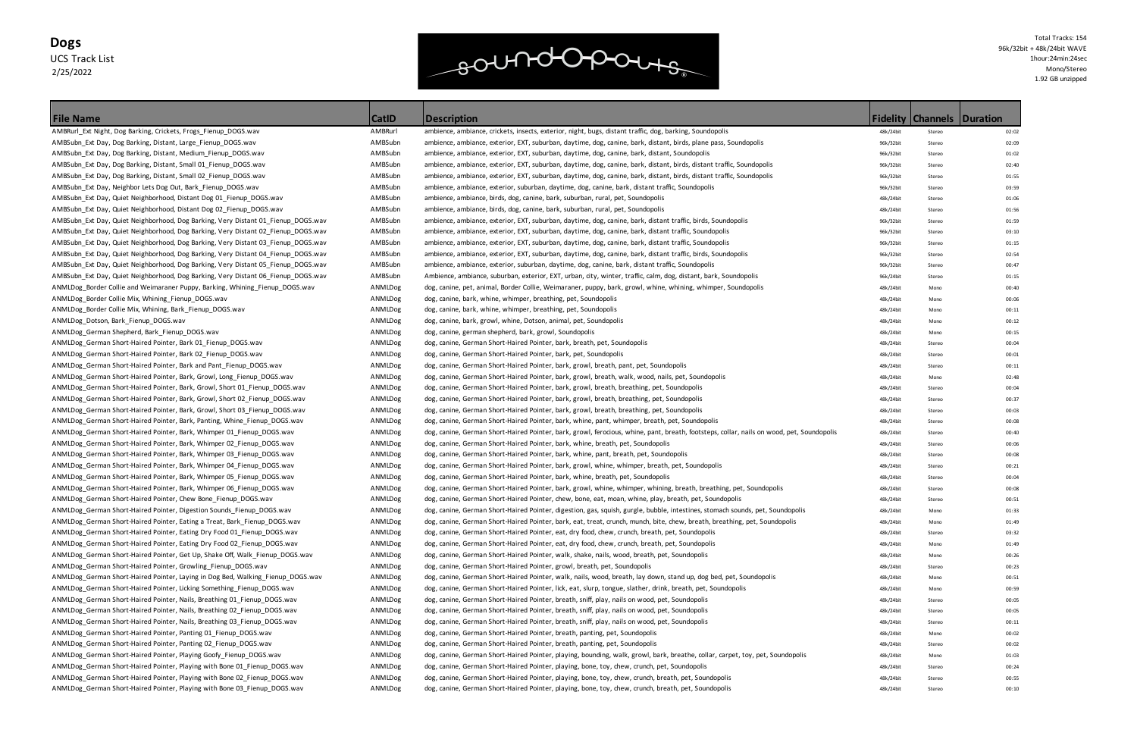### **Dogs** UCS Track List 2/25/2022



Total Tracks: 154 96k/32bit + 48k/24bit WAVE 1hour:24min:24sec Mono/Stereo 1.92 GB unzipped

| <b>Fidelity</b> | <b>Channels</b> | <b>Duration</b> |
|-----------------|-----------------|-----------------|
| 48k/24bit       | Stereo          | 02:02           |
| 96k/32bit       | Stereo          | 02:09           |
| 96k/32bit       | Stereo          | 01:02           |
| 96k/32bit       | Stereo          | 02:40           |
| 96k/32bit       | Stereo          | 01:55           |
| 96k/32bit       | Stereo          | 03:59           |
| 48k/24bit       | Stereo          | 01:06           |
| 48k/24bit       | Stereo          | 01:56           |
| 96k/32bit       | Stereo          | 01:59           |
| 96k/32bit       | Stereo          | 03:10           |
| 96k/32bit       | Stereo          | 01:15           |
| 96k/32bit       | Stereo          | 02:54           |
| 96k/32bit       | Stereo          | 00:47           |
| 96k/24bit       | Stereo          | 01:15           |
| 48k/24bit       | Mono            | 00:40           |
| 48k/24bit       | Mono            | 00:06           |
| 48k/24bit       | Mono            | 00:11           |
| 48k/24bit       | Mono            | 00:12           |
| 48k/24bit       | Mono            | 00:15           |
| 48k/24bit       | Stereo          | 00:04           |
| 48k/24bit       | Stereo          | 00:01           |
| 48k/24bit       | Stereo          | 00:11           |
| 48k/24bit       | Mono            | 02:48           |
| 48k/24bit       | Stereo          | 00:04           |
| 48k/24bit       | Stereo          | 00:37           |
| 48k/24bit       | Stereo          | 00:03           |
| 48k/24bit       | Stereo          | 00:08           |
| 48k/24bit       | Stereo          | 00:40           |
| 48k/24bit       | Stereo          | 00:06           |
| 48k/24bit       | Stereo          | 00:08           |
| 48k/24bit       | Stereo          | 00:21           |
| 48k/24bit       | Stereo          | 00:04           |
| 48k/24bit       | Stereo          | 00:08           |
| 48k/24bit       | Stereo          | 00:51           |
| 48k/24bit       | Mono            | 01:33           |
| 48k/24bit       | Mono            | 01:49           |
| 48k/24bit       | Stereo          | 03:32           |
| 48k/24bit       | Mono            | 01:49           |
| 48k/24bit       | Mono            | 00:26           |
| 48k/24bit       | Stereo          | 00:23           |
| 48k/24bit       | Mono            | 00:51           |
| 48k/24bit       | Mono            | 00:59           |
| 48k/24bit       | Stereo          | 00:05           |
| 48k/24bit       | Stereo          | 00:05           |
| 48k/24bit       | Stereo          | 00:11           |
| 48k/24bit       | Mono            | 00:02           |
| 48k/24bit       | Stereo          | 00:02           |
| 48k/24bit       | Mono            | 01:03           |
| 48k/24bit       | Stereo          | 00:24           |
| 48k/24bit       | Stereo          | 00:55           |
| 48k/24bit       | Stereo          | 00:10           |
|                 |                 |                 |

| <b>File Name</b>                                                                  | <b>CatID</b> | <b>Description</b>                                                                                                                        |           | <b>Fidelity   Channels   Duration</b> |       |
|-----------------------------------------------------------------------------------|--------------|-------------------------------------------------------------------------------------------------------------------------------------------|-----------|---------------------------------------|-------|
| AMBRurl_Ext Night, Dog Barking, Crickets, Frogs_Fienup_DOGS.wav                   | AMBRurl      | ambience, ambiance, crickets, insects, exterior, night, bugs, distant traffic, dog, barking, Soundopolis                                  | 48k/24bit | Stereo                                | 02:02 |
| AMBSubn_Ext Day, Dog Barking, Distant, Large_Fienup_DOGS.wav                      | AMBSubn      | ambience, ambiance, exterior, EXT, suburban, daytime, dog, canine, bark, distant, birds, plane pass, Soundopolis                          | 96k/32bit | Stereo                                | 02:09 |
| AMBSubn_Ext Day, Dog Barking, Distant, Medium_Fienup_DOGS.wav                     | AMBSubn      | ambience, ambiance, exterior, EXT, suburban, daytime, dog, canine, bark, distant, Soundopolis                                             | 96k/32bit | Stereo                                | 01:02 |
| AMBSubn Ext Day, Dog Barking, Distant, Small 01 Fienup DOGS.wav                   | AMBSubn      | ambience, ambiance, exterior, EXT, suburban, daytime, dog, canine, bark, distant, birds, distant traffic, Soundopolis                     | 96k/32bit | Stereo                                | 02:40 |
| AMBSubn_Ext Day, Dog Barking, Distant, Small 02_Fienup_DOGS.wav                   | AMBSubn      | ambience, ambiance, exterior, EXT, suburban, daytime, dog, canine, bark, distant, birds, distant traffic, Soundopolis                     | 96k/32bit | Stereo                                | 01:55 |
| AMBSubn_Ext Day, Neighbor Lets Dog Out, Bark_Fienup_DOGS.wav                      | AMBSubn      | ambience, ambiance, exterior, suburban, daytime, dog, canine, bark, distant traffic, Soundopolis                                          | 96k/32bit | Stereo                                | 03:59 |
| AMBSubn_Ext Day, Quiet Neighborhood, Distant Dog 01_Fienup_DOGS.wav               | AMBSubn      | ambience, ambiance, birds, dog, canine, bark, suburban, rural, pet, Soundopolis                                                           | 48k/24bit | Stereo                                | 01:06 |
| AMBSubn_Ext Day, Quiet Neighborhood, Distant Dog 02_Fienup_DOGS.wav               | AMBSubn      | ambience, ambiance, birds, dog, canine, bark, suburban, rural, pet, Soundopolis                                                           | 48k/24bit | Stereo                                | 01:56 |
| AMBSubn_Ext Day, Quiet Neighborhood, Dog Barking, Very Distant 01_Fienup_DOGS.wav | AMBSubn      | ambience, ambiance, exterior, EXT, suburban, daytime, dog, canine, bark, distant traffic, birds, Soundopolis                              | 96k/32bit | Stereo                                | 01:59 |
| AMBSubn_Ext Day, Quiet Neighborhood, Dog Barking, Very Distant 02_Fienup_DOGS.wav | AMBSubn      | ambience, ambiance, exterior, EXT, suburban, daytime, dog, canine, bark, distant traffic, Soundopolis                                     | 96k/32bit | Stereo                                | 03:10 |
| AMBSubn_Ext Day, Quiet Neighborhood, Dog Barking, Very Distant 03_Fienup_DOGS.wav | AMBSubn      | ambience, ambiance, exterior, EXT, suburban, daytime, dog, canine, bark, distant traffic, Soundopolis                                     | 96k/32bit | Stereo                                | 01:15 |
| AMBSubn_Ext Day, Quiet Neighborhood, Dog Barking, Very Distant 04_Fienup_DOGS.wav | AMBSubn      | ambience, ambiance, exterior, EXT, suburban, daytime, dog, canine, bark, distant traffic, birds, Soundopolis                              | 96k/32bit | Stereo                                | 02:54 |
| AMBSubn_Ext Day, Quiet Neighborhood, Dog Barking, Very Distant 05_Fienup_DOGS.wav | AMBSubn      | ambience, ambiance, exterior, suburban, daytime, dog, canine, bark, distant traffic, Soundopolis                                          | 96k/32bit | Stereo                                | 00:47 |
| AMBSubn_Ext Day, Quiet Neighborhood, Dog Barking, Very Distant 06_Fienup_DOGS.wav | AMBSubn      | Ambience, ambiance, suburban, exterior, EXT, urban, city, winter, traffic, calm, dog, distant, bark, Soundopolis                          | 96k/24bit | Stereo                                | 01:15 |
| ANMLDog Border Collie and Weimaraner Puppy, Barking, Whining Fienup DOGS.wav      | ANMLDog      | dog, canine, pet, animal, Border Collie, Weimaraner, puppy, bark, growl, whine, whining, whimper, Soundopolis                             | 48k/24bit | Mono                                  | 00:40 |
| ANMLDog_Border Collie Mix, Whining_Fienup_DOGS.wav                                | ANMLDog      | dog, canine, bark, whine, whimper, breathing, pet, Soundopolis                                                                            | 48k/24bit | Mono                                  | 00:06 |
| ANMLDog_Border Collie Mix, Whining, Bark_Fienup_DOGS.wav                          | ANMLDog      | dog, canine, bark, whine, whimper, breathing, pet, Soundopolis                                                                            | 48k/24bit | Mono                                  | 00:11 |
| ANMLDog Dotson, Bark Fienup DOGS.wav                                              | ANMLDog      | dog, canine, bark, growl, whine, Dotson, animal, pet, Soundopolis                                                                         | 48k/24bit | Mono                                  | 00:12 |
| ANMLDog German Shepherd, Bark Fienup DOGS.wav                                     | ANMLDog      | dog, canine, german shepherd, bark, growl, Soundopolis                                                                                    | 48k/24bit | Mono                                  | 00:15 |
| ANMLDog_German Short-Haired Pointer, Bark 01_Fienup_DOGS.wav                      | ANMLDog      | dog, canine, German Short-Haired Pointer, bark, breath, pet, Soundopolis                                                                  | 48k/24bit | Stereo                                | 00:04 |
| ANMLDog_German Short-Haired Pointer, Bark 02_Fienup_DOGS.wav                      | ANMLDog      | dog, canine, German Short-Haired Pointer, bark, pet, Soundopolis                                                                          | 48k/24bit | Stereo                                | 00:01 |
| ANMLDog_German Short-Haired Pointer, Bark and Pant_Fienup_DOGS.wav                | ANMLDog      | dog, canine, German Short-Haired Pointer, bark, growl, breath, pant, pet, Soundopolis                                                     | 48k/24bit | Stereo                                | 00:11 |
| ANMLDog_German Short-Haired Pointer, Bark, Growl, Long_Fienup_DOGS.wav            | ANMLDog      | dog, canine, German Short-Haired Pointer, bark, growl, breath, walk, wood, nails, pet, Soundopolis                                        | 48k/24bit | Mono                                  | 02:48 |
| ANMLDog_German Short-Haired Pointer, Bark, Growl, Short 01_Fienup_DOGS.wav        | ANMLDog      | dog, canine, German Short-Haired Pointer, bark, growl, breath, breathing, pet, Soundopolis                                                | 48k/24bit | Stereo                                | 00:04 |
| ANMLDog_German Short-Haired Pointer, Bark, Growl, Short 02_Fienup_DOGS.wav        | ANMLDog      | dog, canine, German Short-Haired Pointer, bark, growl, breath, breathing, pet, Soundopolis                                                | 48k/24bit | Stereo                                | 00:37 |
| ANMLDog_German Short-Haired Pointer, Bark, Growl, Short 03_Fienup_DOGS.wav        | ANMLDog      | dog, canine, German Short-Haired Pointer, bark, growl, breath, breathing, pet, Soundopolis                                                | 48k/24bit | Stereo                                | 00:03 |
| ANMLDog_German Short-Haired Pointer, Bark, Panting, Whine_Fienup_DOGS.wav         | ANMLDog      | dog, canine, German Short-Haired Pointer, bark, whine, pant, whimper, breath, pet, Soundopolis                                            | 48k/24bit | Stereo                                | 00:08 |
| ANMLDog_German Short-Haired Pointer, Bark, Whimper 01_Fienup_DOGS.wav             | ANMLDog      | dog, canine, German Short-Haired Pointer, bark, growl, ferocious, whine, pant, breath, footsteps, collar, nails on wood, pet, Soundopolis | 48k/24bit | Stereo                                | 00:40 |
| ANMLDog_German Short-Haired Pointer, Bark, Whimper 02_Fienup_DOGS.wav             | ANMLDog      | dog, canine, German Short-Haired Pointer, bark, whine, breath, pet, Soundopolis                                                           | 48k/24bit | Stereo                                | 00:06 |
| ANMLDog_German Short-Haired Pointer, Bark, Whimper 03_Fienup_DOGS.wav             | ANMLDog      | dog, canine, German Short-Haired Pointer, bark, whine, pant, breath, pet, Soundopolis                                                     | 48k/24bit | Stereo                                | 00:08 |
| ANMLDog_German Short-Haired Pointer, Bark, Whimper 04_Fienup_DOGS.wav             | ANMLDog      | dog, canine, German Short-Haired Pointer, bark, growl, whine, whimper, breath, pet, Soundopolis                                           | 48k/24bit | Stereo                                | 00:21 |
| ANMLDog_German Short-Haired Pointer, Bark, Whimper 05_Fienup_DOGS.wav             | ANMLDog      | dog, canine, German Short-Haired Pointer, bark, whine, breath, pet, Soundopolis                                                           | 48k/24bit | Stereo                                | 00:04 |
| ANMLDog_German Short-Haired Pointer, Bark, Whimper 06_Fienup_DOGS.wav             | ANMLDog      | dog, canine, German Short-Haired Pointer, bark, growl, whine, whimper, whining, breath, breathing, pet, Soundopolis                       | 48k/24bit | Stereo                                | 00:08 |
| ANMLDog_German Short-Haired Pointer, Chew Bone_Fienup_DOGS.wav                    | ANMLDog      | dog, canine, German Short-Haired Pointer, chew, bone, eat, moan, whine, play, breath, pet, Soundopolis                                    | 48k/24bit | Stereo                                | 00:51 |
| ANMLDog German Short-Haired Pointer, Digestion Sounds Fienup DOGS. wav            | ANMLDog      | dog, canine, German Short-Haired Pointer, digestion, gas, squish, gurgle, bubble, intestines, stomach sounds, pet, Soundopolis            | 48k/24bit | Mono                                  | 01:33 |
| ANMLDog_German Short-Haired Pointer, Eating a Treat, Bark_Fienup_DOGS.wav         | ANMLDog      | dog, canine, German Short-Haired Pointer, bark, eat, treat, crunch, munch, bite, chew, breath, breathing, pet, Soundopolis                | 48k/24bit | Mono                                  | 01:49 |
| ANMLDog_German Short-Haired Pointer, Eating Dry Food 01_Fienup_DOGS.wav           | ANMLDog      | dog, canine, German Short-Haired Pointer, eat, dry food, chew, crunch, breath, pet, Soundopolis                                           | 48k/24bit | Stereo                                | 03:32 |
| ANMLDog_German Short-Haired Pointer, Eating Dry Food 02_Fienup_DOGS.wav           | ANMLDog      | dog, canine, German Short-Haired Pointer, eat, dry food, chew, crunch, breath, pet, Soundopolis                                           | 48k/24bit | Mono                                  | 01:49 |
| ANMLDog_German Short-Haired Pointer, Get Up, Shake Off, Walk_Fienup_DOGS.wav      | ANMLDog      | dog, canine, German Short-Haired Pointer, walk, shake, nails, wood, breath, pet, Soundopolis                                              | 48k/24bit | Mono                                  | 00:26 |
| ANMLDog_German Short-Haired Pointer, Growling_Fienup_DOGS.wav                     | ANMLDog      | dog, canine, German Short-Haired Pointer, growl, breath, pet, Soundopolis                                                                 | 48k/24bit | Stereo                                | 00:23 |
| ANMLDog_German Short-Haired Pointer, Laying in Dog Bed, Walking_Fienup_DOGS.wav   | ANMLDog      | dog, canine, German Short-Haired Pointer, walk, nails, wood, breath, lay down, stand up, dog bed, pet, Soundopolis                        | 48k/24bit | Mono                                  | 00:51 |
| ANMLDog_German Short-Haired Pointer, Licking Something_Fienup_DOGS.wav            | ANMLDog      | dog, canine, German Short-Haired Pointer, lick, eat, slurp, tongue, slather, drink, breath, pet, Soundopolis                              | 48k/24bit | Mono                                  | 00:59 |
| ANMLDog German Short-Haired Pointer, Nails, Breathing 01 Fienup DOGS.wav          | ANMLDog      | dog, canine, German Short-Haired Pointer, breath, sniff, play, nails on wood, pet, Soundopolis                                            | 48k/24bit | Stereo                                | 00:05 |
| ANMLDog German Short-Haired Pointer, Nails, Breathing 02 Fienup DOGS.wav          | ANMLDog      | dog, canine, German Short-Haired Pointer, breath, sniff, play, nails on wood, pet, Soundopolis                                            | 48k/24bit | Stereo                                | 00:05 |
| ANMLDog_German Short-Haired Pointer, Nails, Breathing 03_Fienup_DOGS.wav          | ANMLDog      | dog, canine, German Short-Haired Pointer, breath, sniff, play, nails on wood, pet, Soundopolis                                            | 48k/24bit | Stereo                                | 00:11 |
| ANMLDog_German Short-Haired Pointer, Panting 01_Fienup_DOGS.wav                   | ANMLDog      | dog, canine, German Short-Haired Pointer, breath, panting, pet, Soundopolis                                                               | 48k/24bit | Mono                                  | 00:02 |
| ANMLDog_German Short-Haired Pointer, Panting 02_Fienup_DOGS.wav                   | ANMLDog      | dog, canine, German Short-Haired Pointer, breath, panting, pet, Soundopolis                                                               | 48k/24bit | Stereo                                | 00:02 |
| ANMLDog_German Short-Haired Pointer, Playing Goofy_Fienup_DOGS.wav                | ANMLDog      | dog, canine, German Short-Haired Pointer, playing, bounding, walk, growl, bark, breathe, collar, carpet, toy, pet, Soundopolis            | 48k/24bit | Mono                                  | 01:03 |
| ANMLDog_German Short-Haired Pointer, Playing with Bone 01_Fienup_DOGS.wav         | ANMLDog      | dog, canine, German Short-Haired Pointer, playing, bone, toy, chew, crunch, pet, Soundopolis                                              | 48k/24bit | Stereo                                | 00:24 |
| ANMLDog_German Short-Haired Pointer, Playing with Bone 02_Fienup_DOGS.wav         | ANMLDog      | dog, canine, German Short-Haired Pointer, playing, bone, toy, chew, crunch, breath, pet, Soundopolis                                      | 48k/24bit | Stereo                                | 00:55 |
| ANMLDog_German Short-Haired Pointer, Playing with Bone 03_Fienup_DOGS.wav         | ANMLDog      | dog, canine, German Short-Haired Pointer, playing, bone, toy, chew, crunch, breath, pet, Soundopolis                                      | 48k/24bit | Stereo                                | 00:10 |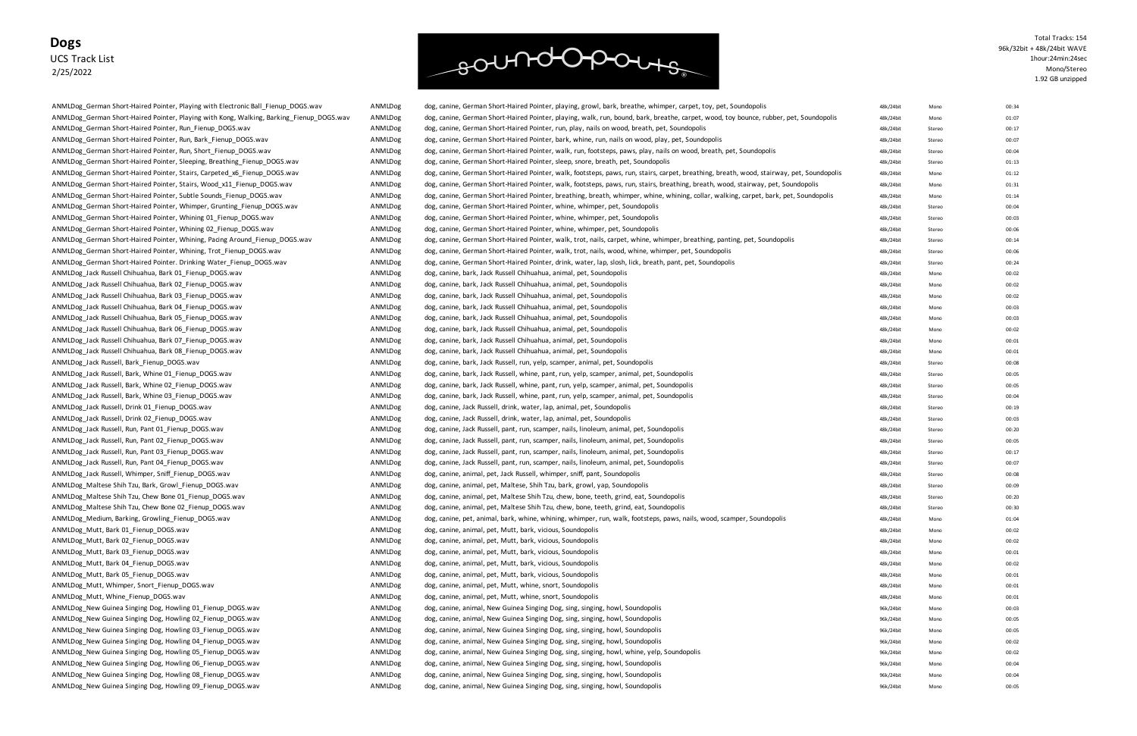### **Dogs** UCS Track List 2/25/2022

ANMLDog German Short-Haired Pointer, Sleeping, Breathing Fienup DOGS.wav ANMLDog dog, canine, German Short-Haired Pointer, sleep, snore, breath, pet, Soundopolis ANMLDog\_German Short-Haired Pointer, Whimper, Grunting\_Fienup\_DOGS.wav ANMLDog dog, canine, German Short-Haired Pointer, whine, whimper, pet, Soundopolis ANMLDog German Short-Haired Pointer, Whining 01 Fienup DOGS.wav ANMLDog dog, canine, German Short-Haired Pointer, whime, whimper, pet, Soundopolis ANMLDog German Short-Haired Pointer, Whining 02 Fienup DOGS.wav ANMLDog dog, canine, German Short-Haired Pointer, whine, whimper, pet, Soundopolis ANMLDog\_Jack Russell Chihuahua, Bark 01\_Fienup\_DOGS.wav ANMLDog dog, canine, bark, Jack Russell Chihuahua, animal, pet, Soundopolis 48km animal, pet, Soundopolis 48km animal, pet, Soundopolis 48km animal, animal, pet, Soun ANMLDog Jack Russell Chihuahua, Bark 02 Fienup DOGS.wav ANMLDog dog, canine, bark, Jack Russell Chihuahua, animal, pet, Soundopolis 48km animal, pet, Soundopolis 48km animal, pet, Soundopolis 48km animal, pet, Soundopolis ANMLDog\_Jack Russell Chihuahua, Bark 03\_Fienup\_DOGS.wav ANMLDog dog, canine, bark, Jack Russell Chihuahua, animal, pet, Soundopolis 48km animal, pet, Soundopolis 48km animal, pet, Soundopolis 48km animal, animal, pet, Soun ANMLDog Jack Russell Chihuahua, Bark 04 Fienup DOGS.wav ANMLDog dog, canine, bark, Jack Russell Chihuahua, animal, pet, Soundopolis 48k/24bit Mono 00:03.wav ANMLDog\_Jack Russell Chihuahua, Bark 05\_Fienup\_DOGS.wav ANMLDog dog, canine, bark, Jack Russell Chihuahua, animal, pet, Soundopolis 48k/24bit Mono 00:03.wav ANMLDog Jack Russell Chihuahua, Bark 06 Fienup DOGS.wav ANMLDog dog, canine, bark, Jack Russell Chihuahua, animal, pet, Soundopolis 48k/24bit Mono 00:02 animal, pet, Soundopolis 48k/24bit Mono 00:02:024bit Mono 00:02:02:02 ANMLDog Jack Russell Chihuahua, Bark 07 Fienup DOGS.wav ANMLDog dog, canine, bark, Jack Russell Chihuahua, animal, pet, Soundopolis 48k/24bit Mono 00:01 animal, pet, Soundopolis 48k/24bit Mono 00:01:01:01:01:01:01:01:01:01 ANMLDog\_Jack Russell Chihuahua, Bark 08\_Fienup\_DOGS.wav ANMLDog dog, canine, bark, Jack Russell Chihuahua, animal, pet, Soundopolis 48km animal, pet, Soundopolis 48km animal, pet, Soundopolis 48km animal, animal, pet, Soun ANMLDog\_Jack Russell, Bark\_Fienup\_DOGS.wav ANMLDog dog, canine, bark, Jack Russell, run, yelp, scamper, animal, pet, Soundopolis 48k/24bit Stereo 00:08 animal, pet, Soundopolis 48k/24bit Stereo 00:08 animal, pet, Soundopol ANMLDog\_Jack Russell, Bark, Whine 01\_Fienup\_DOGS.wav ANMLDog dog, canine, bark, Jack Russell, whine, pant, run, yelp, scamper, animal, pet, Soundopolis 48k/24bit Stereo 01 animal, pet, Soundopolis 48k/24bit Stereo 00:05:00 ANMLDog Jack Russell, Bark, Whine 02 Fienup DOGS.wav ANMLDog dog, canine, bark, Jack Russell, whine, pant, run, yelp, scamper, animal, pet, Soundopolis 48k/24bit Stereo 00:05 animal, pet, Soundopolis 48k/24bit Stereo 00:05 ANMLDog\_Jack Russell, Bark, Whine 03\_Fienup\_DOGS.wav ANMLDog dog, canine, bark, Jack Russell, whine, pant, run, yelp, scamper, animal, pet, Soundopolis 48k/24bit Stereo 00:05 AMMLDog dog, canine, bark, Jack Russell, whine, ANMLDog Jack Russell, Drink 01 Fienup DOGS.wav ANMLDog dog, canine, Jack Russell, drink, water, lap, animal, pet, Soundopolis 48k/24bit Stereo 00:19 animal, pet, Soundopolis 48k/24bit Stereo 00:19 animal, pet, Soundopolis ANMLDog\_Jack Russell, Drink 02\_Fienup\_DOGS.wav ANMLDog dog, canine, Jack Russell, drink, water, lap, animal, pet, Soundopolis 48k/24bit Stereo 00:03 animal, pet, Soundopolis 48k/24bit Stereo 00:03 animal, pet, Soundopolis ANMLDog Jack Russell, Run, Pant 01 Fienup DOGS.wav ANMLDog dog, canine, Jack Russell, pant, run, scamper, nails, linoleum, animal, pet, Soundopolis 48k/24bit Stereo 10:20 animal, pet, Soundopolis 48k/24bit Stereo 00:20:20: ANMLDog\_Jack Russell, Run, Pant 02\_Fienup\_DOGS.wav ANMLDog dog, canine, Jack Russell, pant, run, scamper, nails, linoleum, animal, pet, Soundopolis 48k/24bit Stereo 00:05 ANMLDog dog, canine, Jack Russell, pant, run, scamp ANMLDog\_Jack Russell, Run, Pant 03\_Fienup\_DOGS.wav ANMLOO ANMLDog dog, canine, Jack Russell, pant, run, scamper, nails, linoleum, animal, pet, Soundopolis 48k/24bit Stereo 00:17 animal, pet, Soundopolis 48k/24bit Stereo 00 ANMLDog\_Jack Russell, Run, Pant 04\_Fienup\_DOGS.wav ANMLDog dog, canine, Jack Russell, pant, run, scamper, nails, linoleum, animal, pet, Soundopolis 48k/24bit Stereo 10:07 animal, pet, Soundopolis 48k/24bit Stereo 00:07:07: ANMLDog Jack Russell, Whimper, Sniff Fienup DOGS.wav ANMLDog dog, canine, animal, pet, Jack Russell, whimper, sniff, pant, Soundopolis 48k/24bit Stereo 00:08 animal, pet, Jack Russell, whimper, sniff, pant, Soundopolis 48k ANMLDog\_Maltese Shih Tzu, Bark, Growl\_Fienup\_DOGS.wav ANMLDog dog, canine, animal, pet, Maltese, Shih Tzu, bark, growl, yap, Soundopolis 48km animal, pet, Maltese, Shih Tzu, bark, growl, yap, Soundopolis 48km animal, pet, ANMLDog\_Maltese Shih Tzu, Chew Bone 01\_Fienup\_DOGS.wav and the stereo and the ANMLDog dog, canine, animal, pet, Maltese Shih Tzu, chew, bone, teeth, grind, eat, Soundopolis 48k/24bit Stereo 10:20:2012 ANMLDog Maltese Shih Tzu, Chew Bone 02 Fienup DOGS.wav ANMLDog dog, canine, animal, pet, Maltese Shih Tzu, chew, bone, teeth, grind, eat, Soundopolis ANMLDog Mutt, Bark 01 Fienup DOGS.wav ANMLDog dog, canine, animal, pet, Mutt, bark, vicious, Soundopolis 48k/24bit Mono 00:02:02 dog, canine, animal, pet, Mutt, bark, vicious, Soundopolis 48k/24bit Mono 00:02:02:02:02:02:0 ANMLDog\_Mutt, Bark 02\_Fienup\_DOGS.wav ANMLDog dog, canine, animal, pet, Mutt, bark, vicious, Soundopolis 48k/24bit Mono 00:02 animal, pet, Mutt, bark, vicious, Soundopolis ANMLDog Mutt, Bark 03 Fienup DOGS.wav ANMLDog dog, canine, animal, pet, Mutt, bark, vicious, Soundopolis 48k/24bit Mono 00:01 animal, pet, Mutt, bark, vicious, Soundopolis 48k/24bit Mono 00:01:01:01:01:01:01:01:01:01:01:01 ANMLDog\_Mutt, Bark 04\_Fienup\_DOGS.wav ANMLDog dog, canine, animal, pet, Mutt, bark, vicious, Soundopolis 48k/24bit Mono 00:02:02 ANMLDog Mutt, Bark 05 Fienup DOGS.wav ANMLDog dog, canine, animal, pet, Mutt, bark, vicious, Soundopolis 48k/24bit Mono 00:01 animal, pet, Mutt, bark, vicious, Soundopolis 48k/24bit Mono 00:01:01:01:01:01:01:01:01:01:01:01 ANMLDog\_Mutt, Whimper, Snort\_Fienup\_DOGS.wav ANMLDog dog, canine, animal, pet, Mutt, whine, snort, Soundopolis ANMLDog\_Mutt, Whine\_Fienup\_DOGS.wav **ANMLDog** dog, canine, animal, pet, Mutt, whine, snort, Soundopolis 48k/24bit Mono 00:01 ANMLDog\_New Guinea Singing Dog, Howling 01\_Fienup\_DOGS.wav ANMLDog dog, canine, animal, New Guinea Singing Dog, sing, singing, howl, Soundopolis 96k ANMLDog\_New Guinea Singing Dog, Howling 02\_Fienup\_DOGS.wav ANMLDog dog, canine, animal, New Guinea Singing Dog, sing, singing, howl, Soundopolis 96k/24bit Mono 00:05 ANMLDog dog, canine, animal, New Guinea Singing Dog, sin ANMLDog New Guinea Singing Dog, Howling 03 Fienup DOGS.wav ANMLDog dog, canine, animal, New Guinea Singing Dog, sing, singing, howl, Soundopolis 96k, 86k ANMLDog\_New Guinea Singing Dog, Howling 04\_Fienup\_DOGS.wav ANMLDog dog, canine, animal, New Guinea Singing Dog, sing, singing, howl, Soundopolis 96k ANMLDog\_New Guinea Singing Dog, Howling 06\_Fienup\_DOGS.wav ANMLDog dog, canine, animal, New Guinea Singing Dog, sing, singing, howl, Soundopolis 96k/24bit Mono 00:04 bit Mono 00:04 bit Mono 00:04 bit Mono 00:04 bit Mono 00 ANMLDog\_New Guinea Singing Dog, Howling 08\_Fienup\_DOGS.wav ANMLDog dog, canine, animal, New Guinea Singing Dog, sing, singing, howl, Soundopolis 96k/24bit Mono 00:04 animal, New Guinea Singing Dog, singing, howl, Soundopol ANMLDog\_New Guinea Singing Dog, Howling 09\_Fienup\_DOGS.wav ANMLDog dog, canine, animal, New Guinea Singing Dog, sing, singing, howl, Soundopolis 96k/24bit Mono 00:05 ANMLDog dog, canine, animal, New Guinea Singing Dog, sin

# soundopours

ANMLDog German Short-Haired Pointer, Playing with Electronic Ball Fienup DOGS.wav ANMLDog dog, canine, German Short-Haired Pointer, playing, growl, bark, breathe, whimper, carpet, toy, pet, Soundopolis 48k/24bit Mono 00:34 ANMLDog\_German Short-Haired Pointer, Playing with Kong, Walking, Barking\_Fienup\_DOGS.wav ANMLDog dog, canine, German Short-Haired Pointer, playing, walk, run, bound, bark, breathe, carpet, wood, toy bounce, rubber, pet, So ANMLDog\_German Short-Haired Pointer, Run\_Fienup\_DOGS.wav ANMLDog dog, canine, German Short-Haired Pointer, run, play, nails on wood, breath, pet, Soundopolis 48k/24bit Stereo 17 and ADMLDog dog, canine, German Short-Haired ANMLDog\_German Short-Haired Pointer, Run, Bark\_Fienup\_DOGS.wav and the step of the ANMLDog dog, canine, German Short-Haired Pointer, bark, whine, run, nails on wood, play, pet, Soundopolis 48k/24bit Stereo 10:07:07:07:07:0 ANMLDog\_German Short-Haired Pointer, Run, Short\_Fienup\_DOGS.wav ANMLDog dog, canine, German Short-Haired Pointer, walk, run, footsteps, paws, play, nails on wood, breath, pet, Soundopolis ANMLDog German Short-Haired Pointer, Stairs, Carpeted\_x6\_Fienup\_DOGS.wav ANMLDog dog, canine, German Short-Haired Pointer, walk, footsteps, paws, run, stairs, carpet, breathing, breath, wood, stairway, pet, Soundopolis ANMLDog German Short-Haired Pointer, Stairs, Wood x11 Fienup DOGS.wav ANMLDog dog, canine, German Short-Haired Pointer, walk, footsteps, paws, run, stairs, breathing, breath, wood, stairway, pet, Soundopolis ANMLDog German Short-Haired Pointer, Subtle Sounds Fienup DOGS.wav MNLDog dog, canine, German Short-Haired Pointer, breathing, breath, whimper, whine, whining, collar, walking, carpet, bark, pet, Soundopolis ANMLDog German Short-Haired Pointer, Whining, Pacing Around Fienup DOGS.wav ANMLDog dog, canine, German Short-Haired Pointer, walk, trot, nails, carpet, whine, whimper, breathing, panting, pet, Soundopolis ANMLDog\_German Short-Haired Pointer, Whining, Trot\_Fienup\_DOGS.wav ANMLDog dog, canine, German Short-Haired Pointer, walk, trot, nails, wood, whine, whimper, pet, Soundopolis ANMLDog German Short-Haired Pointer. Drinking Water Fienup DOGS.wav **ANMLDog** dog, canine, German Short-Haired Pointer, drink, water, lap, slosh, lick, breath, pant, pet, Soundopolis ANMLDog Medium, Barking, Growling\_Fienup\_DOGS.wav ANMLDog dog, canine, pet, animal, bark, whine, whining, whimper, run, walk, footsteps, paws, nails, wood, scamper, Soundopolis ANMLDog\_New Guinea Singing Dog, Howling 05\_Fienup\_DOGS.wav and ANMLDog dog, canine, animal, New Guinea Singing Dog, sing, singing, howl, whine, yelp, Soundopolis

Total Tracks: 154 96k/32bit + 48k/24bit WAVE 1hour:24min:24sec Mono/Stereo 1.92 GB unzipped

| TUN/LTUIL | <u></u> | <b>00.JT</b> |
|-----------|---------|--------------|
| 48k/24bit | Mono    | 01:07        |
| 48k/24bit | Stereo  | 00:17        |
| 48k/24bit | Stereo  | 00:07        |
| 48k/24bit | Stereo  | 00:04        |
| 48k/24bit | Stereo  | 01:13        |
| 48k/24bit | Mono    | 01:12        |
| 48k/24bit | Mono    | 01:31        |
| 48k/24bit | Mono    | 01:14        |
| 48k/24bit | Stereo  | 00:04        |
| 48k/24bit | Stereo  | 00:03        |
| 48k/24bit | Stereo  | 00:06        |
| 48k/24bit | Stereo  | 00:14        |
| 48k/24bit | Stereo  | 00:06        |
| 48k/24bit | Stereo  | 00:24        |
| 48k/24bit | Mono    | 00:02        |
| 48k/24bit | Mono    | 00:02        |
| 48k/24bit | Mono    | 00:02        |
| 48k/24bit | Mono    | 00:03        |
| 48k/24bit | Mono    | 00:03        |
| 48k/24bit | Mono    | 00:02        |
| 48k/24bit | Mono    | 00:01        |
| 48k/24bit | Mono    | 00:01        |
| 48k/24bit | Stereo  | 00:08        |
| 48k/24bit | Stereo  | 00:05        |
| 48k/24bit | Stereo  | 00:05        |
| 48k/24bit | Stereo  | 00:04        |
| 48k/24bit | Stereo  | 00:19        |
| 48k/24bit | Stereo  | 00:03        |
| 48k/24bit | Stereo  | 00:20        |
| 48k/24bit | Stereo  | 00:05        |
| 48k/24bit | Stereo  | 00:17        |
| 48k/24bit | Stereo  | 00:07        |
| 48k/24bit | Stereo  | 00:08        |
| 48k/24bit | Stereo  | 00:09        |
| 48k/24bit | Stereo  | 00:20        |
| 48k/24bit | Stereo  | 00:30        |
| 48k/24bit | Mono    | 01:04        |
| 48k/24bit | Mono    | 00:02        |
| 48k/24bit | Mono    | 00:02        |
| 48k/24bit | Mono    | 00:01        |
| 48k/24bit | Mono    | 00:02        |
| 48k/24bit | Mono    | 00:01        |
| 48k/24bit | Mono    | 00:01        |
| 48k/24bit | Mono    | 00:01        |
| 96k/24bit | Mono    | 00:03        |
| 96k/24bit | Mono    | 00:05        |
| 96k/24bit | Mono    | 00:05        |
| 96k/24bit | Mono    | 00:02        |
| 96k/24bit | Mono    | 00:02        |
| 96k/24bit | Mono    | 00:04        |
| 96k/24bit | Mono    | 00:04        |
| 96k/24bit | Mono    | 00:05        |
|           |         |              |